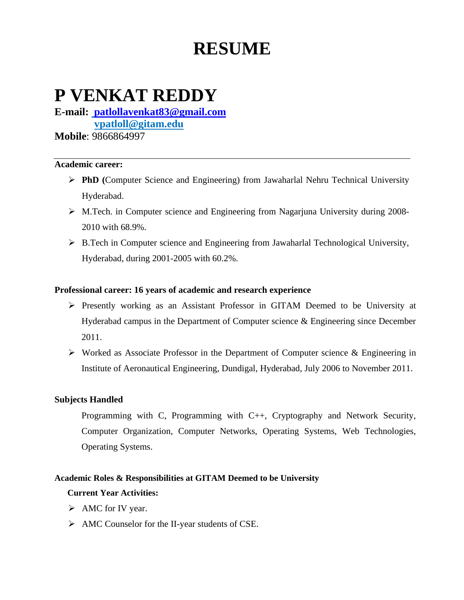# **RESUME**

# **P VENKAT REDDY**

**E-mail: [patlollavenkat83@gmail.com](mailto:patlollavenkat83@gmail.com) vpatloll@gitam.edu Mobile**: 9866864997

#### **Academic career:**

- ➢ **PhD (**Computer Science and Engineering) from Jawaharlal Nehru Technical University Hyderabad.
- ➢ M.Tech. in Computer science and Engineering from Nagarjuna University during 2008- 2010 with 68.9%.
- ➢ B.Tech in Computer science and Engineering from Jawaharlal Technological University, Hyderabad, during 2001-2005 with 60.2%.

# **Professional career: 16 years of academic and research experience**

- ➢ Presently working as an Assistant Professor in GITAM Deemed to be University at Hyderabad campus in the Department of Computer science & Engineering since December 2011.
- ➢ Worked as Associate Professor in the Department of Computer science & Engineering in Institute of Aeronautical Engineering, Dundigal, Hyderabad, July 2006 to November 2011.

### **Subjects Handled**

Programming with C, Programming with C++, Cryptography and Network Security, Computer Organization, Computer Networks, Operating Systems, Web Technologies, Operating Systems.

### **Academic Roles & Responsibilities at GITAM Deemed to be University**

### **Current Year Activities:**

- ➢ AMC for IV year.
- ➢ AMC Counselor for the II-year students of CSE.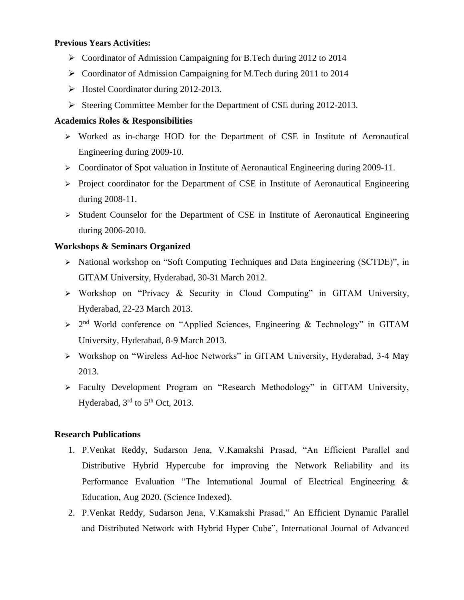#### **Previous Years Activities:**

- ➢ Coordinator of Admission Campaigning for B.Tech during 2012 to 2014
- ➢ Coordinator of Admission Campaigning for M.Tech during 2011 to 2014
- ➢ Hostel Coordinator during 2012-2013.
- ➢ Steering Committee Member for the Department of CSE during 2012-2013.

## **Academics Roles & Responsibilities**

- ➢ Worked as in-charge HOD for the Department of CSE in Institute of Aeronautical Engineering during 2009-10.
- ➢ Coordinator of Spot valuation in Institute of Aeronautical Engineering during 2009-11.
- ➢ Project coordinator for the Department of CSE in Institute of Aeronautical Engineering during 2008-11.
- $\triangleright$  Student Counselor for the Department of CSE in Institute of Aeronautical Engineering during 2006-2010.

# **Workshops & Seminars Organized**

- ➢ National workshop on "Soft Computing Techniques and Data Engineering (SCTDE)", in GITAM University, Hyderabad, 30-31 March 2012.
- ➢ Workshop on "Privacy & Security in Cloud Computing" in GITAM University, Hyderabad, 22-23 March 2013.
- $\geq 2^{nd}$  World conference on "Applied Sciences, Engineering & Technology" in GITAM University, Hyderabad, 8-9 March 2013.
- ➢ Workshop on "Wireless Ad-hoc Networks" in GITAM University, Hyderabad, 3-4 May 2013.
- ➢ Faculty Development Program on "Research Methodology" in GITAM University, Hyderabad,  $3<sup>rd</sup>$  to  $5<sup>th</sup>$  Oct, 2013.

### **Research Publications**

- 1. P.Venkat Reddy, Sudarson Jena, V.Kamakshi Prasad, "An Efficient Parallel and Distributive Hybrid Hypercube for improving the Network Reliability and its Performance Evaluation "The International Journal of Electrical Engineering & Education, Aug 2020. (Science Indexed).
- 2. P.Venkat Reddy, Sudarson Jena, V.Kamakshi Prasad," An Efficient Dynamic Parallel and Distributed Network with Hybrid Hyper Cube", International Journal of Advanced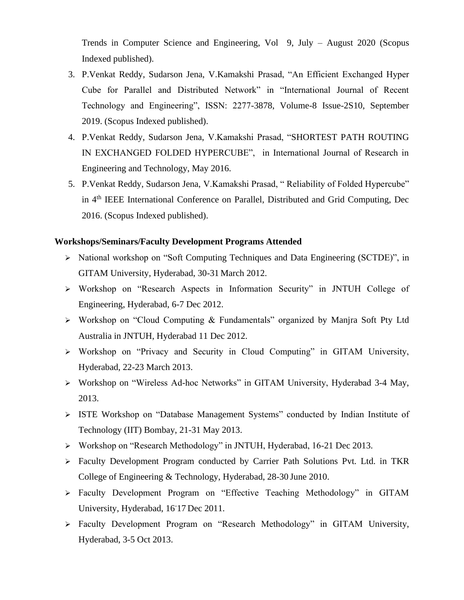Trends in Computer Science and Engineering, Vol 9, July – August 2020 (Scopus Indexed published).

- 3. P.Venkat Reddy, Sudarson Jena, V.Kamakshi Prasad, "An Efficient Exchanged Hyper Cube for Parallel and Distributed Network" in "International Journal of Recent Technology and Engineering", ISSN: 2277-3878, Volume-8 Issue-2S10, September 2019. (Scopus Indexed published).
- 4. P.Venkat Reddy, Sudarson Jena, V.Kamakshi Prasad, "SHORTEST PATH ROUTING IN EXCHANGED FOLDED HYPERCUBE", in International Journal of Research in Engineering and Technology, May 2016.
- 5. P.Venkat Reddy, Sudarson Jena, V.Kamakshi Prasad, " Reliability of Folded Hypercube" in 4th IEEE International Conference on Parallel, Distributed and Grid Computing, Dec 2016. (Scopus Indexed published).

#### **Workshops/Seminars/Faculty Development Programs Attended**

- ➢ National workshop on "Soft Computing Techniques and Data Engineering (SCTDE)", in GITAM University, Hyderabad, 30-31 March 2012.
- ➢ Workshop on "Research Aspects in Information Security" in JNTUH College of Engineering, Hyderabad, 6-7 Dec 2012.
- ➢ Workshop on "Cloud Computing & Fundamentals" organized by Manjra Soft Pty Ltd Australia in JNTUH, Hyderabad 11 Dec 2012.
- $\triangleright$  Workshop on "Privacy and Security in Cloud Computing" in GITAM University, Hyderabad, 22-23 March 2013.
- ➢ Workshop on "Wireless Ad-hoc Networks" in GITAM University, Hyderabad 3-4 May, 2013.
- ➢ ISTE Workshop on "Database Management Systems" conducted by Indian Institute of Technology (IIT) Bombay, 21-31 May 2013.
- ➢ Workshop on "Research Methodology" in JNTUH, Hyderabad, 16-21 Dec 2013.
- ➢ Faculty Development Program conducted by Carrier Path Solutions Pvt. Ltd. in TKR College of Engineering & Technology, Hyderabad, 28-30 June 2010.
- ➢ Faculty Development Program on "Effective Teaching Methodology" in GITAM University, Hyderabad, 16- 17 Dec 2011.
- ➢ Faculty Development Program on "Research Methodology" in GITAM University, Hyderabad, 3-5 Oct 2013.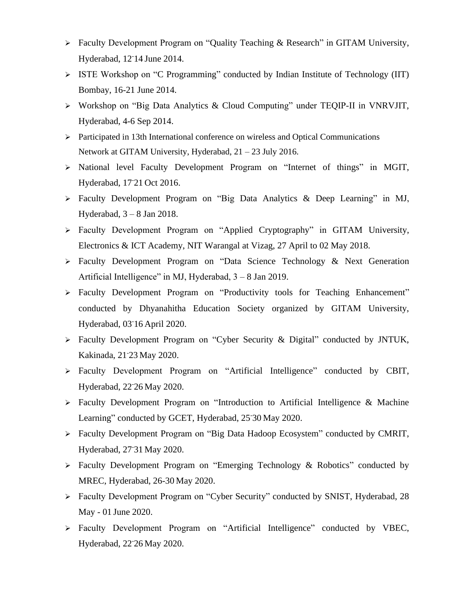- ➢ Faculty Development Program on "Quality Teaching & Research" in GITAM University, Hyderabad, 12- 14 June 2014.
- ➢ ISTE Workshop on "C Programming" conducted by Indian Institute of Technology (IIT) Bombay, 16-21 June 2014.
- ➢ Workshop on "Big Data Analytics & Cloud Computing" under TEQIP-II in VNRVJIT, Hyderabad, 4-6 Sep 2014.
- ➢ Participated in 13th International conference on wireless and Optical Communications Network at GITAM University, Hyderabad, 21 – 23 July 2016.
- ➢ National level Faculty Development Program on "Internet of things" in MGIT, Hyderabad, 17- 21 Oct 2016.
- ➢ Faculty Development Program on "Big Data Analytics & Deep Learning" in MJ, Hyderabad, 3 – 8 Jan 2018.
- ➢ Faculty Development Program on "Applied Cryptography" in GITAM University, Electronics & ICT Academy, NIT Warangal at Vizag, 27 April to 02 May 2018.
- ➢ Faculty Development Program on "Data Science Technology & Next Generation Artificial Intelligence" in MJ, Hyderabad, 3 – 8 Jan 2019.
- ➢ Faculty Development Program on "Productivity tools for Teaching Enhancement" conducted by Dhyanahitha Education Society organized by GITAM University, Hyderabad, 03- 16 April 2020.
- ➢ Faculty Development Program on "Cyber Security & Digital" conducted by JNTUK, Kakinada, 21- 23 May 2020.
- ➢ Faculty Development Program on "Artificial Intelligence" conducted by CBIT, Hyderabad, 22 - 26 May 2020.
- ➢ Faculty Development Program on "Introduction to Artificial Intelligence & Machine Learning" conducted by GCET, Hyderabad, 25- 30 May 2020.
- ➢ Faculty Development Program on "Big Data Hadoop Ecosystem" conducted by CMRIT, Hyderabad, 27- 31 May 2020.
- ➢ Faculty Development Program on "Emerging Technology & Robotics" conducted by MREC, Hyderabad, 26-30 May 2020.
- ➢ Faculty Development Program on "Cyber Security" conducted by SNIST, Hyderabad, 28 May - 01 June 2020.
- ➢ Faculty Development Program on "Artificial Intelligence" conducted by VBEC, Hyderabad, 22- 26 May 2020.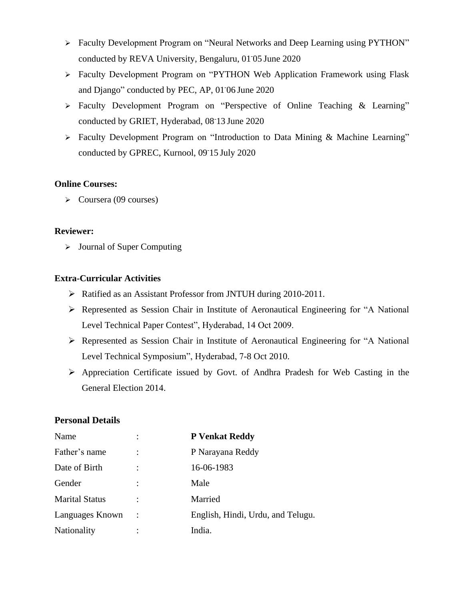- ➢ Faculty Development Program on "Neural Networks and Deep Learning using PYTHON" conducted by REVA University, Bengaluru, 01- 05 June 2020
- ➢ Faculty Development Program on "PYTHON Web Application Framework using Flask and Django" conducted by PEC, AP, 01- 06 June 2020
- ➢ Faculty Development Program on "Perspective of Online Teaching & Learning" conducted by GRIET, Hyderabad, 08- 13 June 2020
- ➢ Faculty Development Program on "Introduction to Data Mining & Machine Learning" conducted by GPREC, Kurnool, 09- 15 July 2020

### **Online Courses:**

➢ Coursera (09 courses)

# **Reviewer:**

➢ Journal of Super Computing

# **Extra-Curricular Activities**

- ➢ Ratified as an Assistant Professor from JNTUH during 2010-2011.
- ➢ Represented as Session Chair in Institute of Aeronautical Engineering for "A National Level Technical Paper Contest", Hyderabad, 14 Oct 2009.
- ➢ Represented as Session Chair in Institute of Aeronautical Engineering for "A National Level Technical Symposium", Hyderabad, 7-8 Oct 2010.
- ➢ Appreciation Certificate issued by Govt. of Andhra Pradesh for Web Casting in the General Election 2014.

# **Personal Details**

| Name                  | $\ddot{\cdot}$ | <b>P</b> Venkat Reddy             |
|-----------------------|----------------|-----------------------------------|
| Father's name         |                | P Narayana Reddy                  |
| Date of Birth         |                | 16-06-1983                        |
| Gender                |                | Male                              |
| <b>Marital Status</b> |                | Married                           |
| Languages Known       |                | English, Hindi, Urdu, and Telugu. |
| Nationality           |                | India.                            |